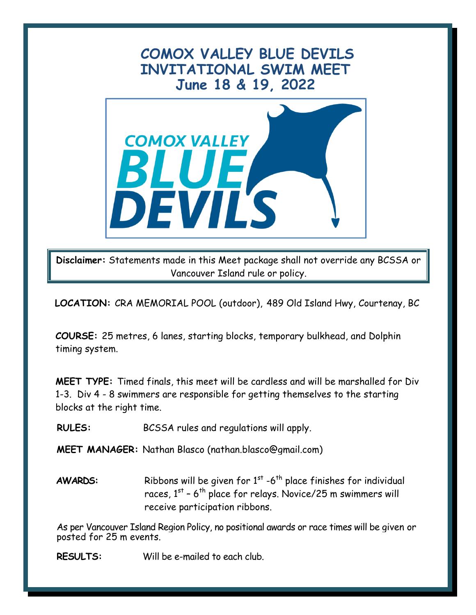## **COMOX VALLEY BLUE DEVILS INVITATIONAL SWIM MEET June 18 & 19, 2022**



**Disclaimer:** Statements made in this Meet package shall not override any BCSSA or Vancouver Island rule or policy.

**LOCATION:** CRA MEMORIAL POOL (outdoor), 489 Old Island Hwy, Courtenay, BC

**COURSE:** 25 metres, 6 lanes, starting blocks, temporary bulkhead, and Dolphin timing system.

**MEET TYPE:** Timed finals, this meet will be cardless and will be marshalled for Div 1-3. Div 4 - 8 swimmers are responsible for getting themselves to the starting blocks at the right time.

**RULES:** BCSSA rules and regulations will apply.

**MEET MANAGER:** Nathan Blasco (nathan.blasco@gmail.com)

**AWARDS:** Ribbons will be given for 1<sup>st</sup> -6<sup>th</sup> place finishes for individual races, 1 $^{\rm st}$  - 6 $^{\rm th}$  place for relays. Novice/25 m swimmers will receive participation ribbons.

As per Vancouver Island Region Policy, no positional awards or race times will be given or posted for 25 m events.

**RESULTS:** Will be e-mailed to each club.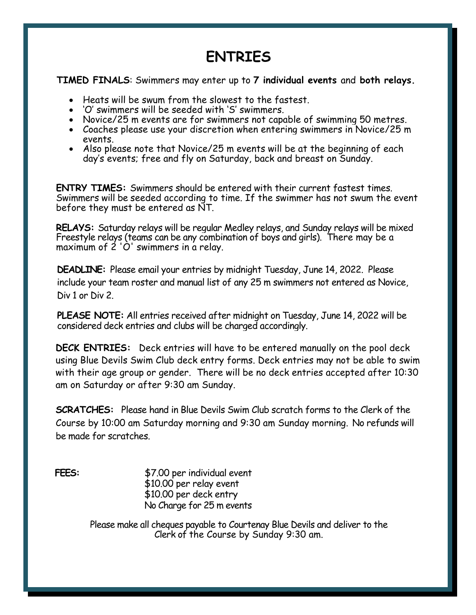## **ENTRIES**

**TIMED FINALS**: Swimmers may enter up to **7 individual events** and **both relays.**

- Heats will be swum from the slowest to the fastest.
- 'O' swimmers will be seeded with 'S' swimmers.
- Novice/25 m events are for swimmers not capable of swimming 50 metres.
- Coaches please use your discretion when entering swimmers in Novice/25 m events.
- Also please note that Novice/25 m events will be at the beginning of each day's events; free and fly on Saturday, back and breast on Sunday.

**ENTRY TIMES:** Swimmers should be entered with their current fastest times. Swimmers will be seeded according to time. If the swimmer has not swum the event before they must be entered as NT.

**RELAYS:** Saturday relays will be regular Medley relays, and Sunday relays will be mixed Freestyle relays (teams can be any combination of boys and girls). There may be a maximum of 2 'O' swimmers in a relay.

**DEADLINE:** Please email your entries by midnight Tuesday, June 14, 2022. Please include your team roster and manual list of any 25 m swimmers not entered as Novice, Div 1 or Div 2.

**PLEASE NOTE:** All entries received after midnight on Tuesday, June 14, 2022 will be considered deck entries and clubs will be charged accordingly.

**DECK ENTRIES:** Deck entries will have to be entered manually on the pool deck using Blue Devils Swim Club deck entry forms. Deck entries may not be able to swim with their age group or gender. There will be no deck entries accepted after 10:30 am on Saturday or after 9:30 am Sunday.

**SCRATCHES:** Please hand in Blue Devils Swim Club scratch forms to the Clerk of the Course by 10:00 am Saturday morning and 9:30 am Sunday morning. No refunds will be made for scratches.

**FEES:** \$7.00 per individual event \$10.00 per relay event \$10.00 per deck entry No Charge for 25 m events

> Please make all cheques payable to Courtenay Blue Devils and deliver to the Clerk of the Course by Sunday 9:30 am.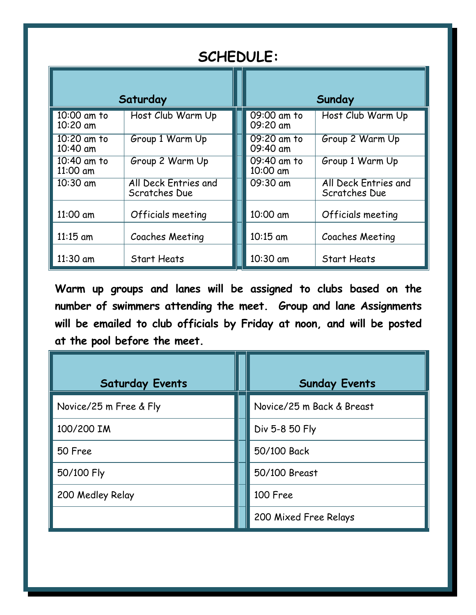| <b>SCHEDULE:</b>                     |                                       |  |                         |                                       |  |  |
|--------------------------------------|---------------------------------------|--|-------------------------|---------------------------------------|--|--|
| Saturday                             |                                       |  |                         | Sunday                                |  |  |
| 10:00 am to<br>10:20 am              | Host Club Warm Up                     |  | 09:00 am to<br>09:20 am | Host Club Warm Up                     |  |  |
| $\overline{10:}20$ am to<br>10:40 am | Group 1 Warm Up                       |  | 09:20 am to<br>09:40 am | Group 2 Warm Up                       |  |  |
| 10:40 am to<br>11:00 am              | Group 2 Warm Up                       |  | 09:40 am to<br>10:00 am | Group 1 Warm Up                       |  |  |
| $10:30$ am                           | All Deck Entries and<br>Scratches Due |  | 09:30 am                | All Deck Entries and<br>Scratches Due |  |  |
| 11:00 am                             | Officials meeting                     |  | 10:00 am                | Officials meeting                     |  |  |
| $11:15$ am                           | Coaches Meeting                       |  | 10:15 am                | Coaches Meeting                       |  |  |
| $11:30$ am                           | <b>Start Heats</b>                    |  | 10:30 am                | <b>Start Heats</b>                    |  |  |

**Warm up groups and lanes will be assigned to clubs based on the number of swimmers attending the meet. Group and lane Assignments will be emailed to club officials by Friday at noon, and will be posted at the pool before the meet.**

| <b>Saturday Events</b> |  | <b>Sunday Events</b>      |  |
|------------------------|--|---------------------------|--|
| Novice/25 m Free & Fly |  | Novice/25 m Back & Breast |  |
| 100/200 IM             |  | Div 5-8 50 Fly            |  |
| 50 Free                |  | 50/100 Back               |  |
| 50/100 Fly             |  | 50/100 Breast             |  |
| 200 Medley Relay       |  | 100 Free                  |  |
|                        |  | 200 Mixed Free Relays     |  |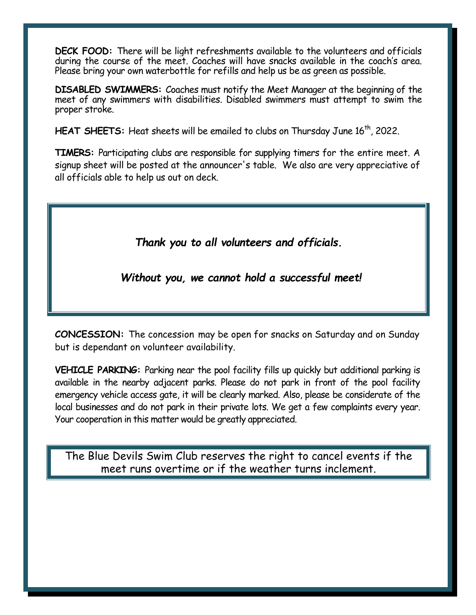**DECK FOOD:** There will be light refreshments available to the volunteers and officials during the course of the meet. Coaches will have snacks available in the coach's area. Please bring your own waterbottle for refills and help us be as green as possible.

**DISABLED SWIMMERS:** Coaches must notify the Meet Manager at the beginning of the meet of any swimmers with disabilities. Disabled swimmers must attempt to swim the proper stroke.

**HEAT SHEETS:** Heat sheets will be emailed to clubs on Thursday June 16<sup>th</sup>, 2022.

**TIMERS:** Participating clubs are responsible for supplying timers for the entire meet. A signup sheet will be posted at the announcer's table. We also are very appreciative of all officials able to help us out on deck.

*Thank you to all volunteers and officials.*

*Without you, we cannot hold a successful meet!*

**CONCESSION:** The concession may be open for snacks on Saturday and on Sunday but is dependant on volunteer availability.

**VEHICLE PARKING:** Parking near the pool facility fills up quickly but additional parking is available in the nearby adjacent parks. Please do not park in front of the pool facility emergency vehicle access gate, it will be clearly marked. Also, please be considerate of the local businesses and do not park in their private lots. We get a few complaints every year. Your cooperation in this matter would be greatly appreciated.

The Blue Devils Swim Club reserves the right to cancel events if the meet runs overtime or if the weather turns inclement.